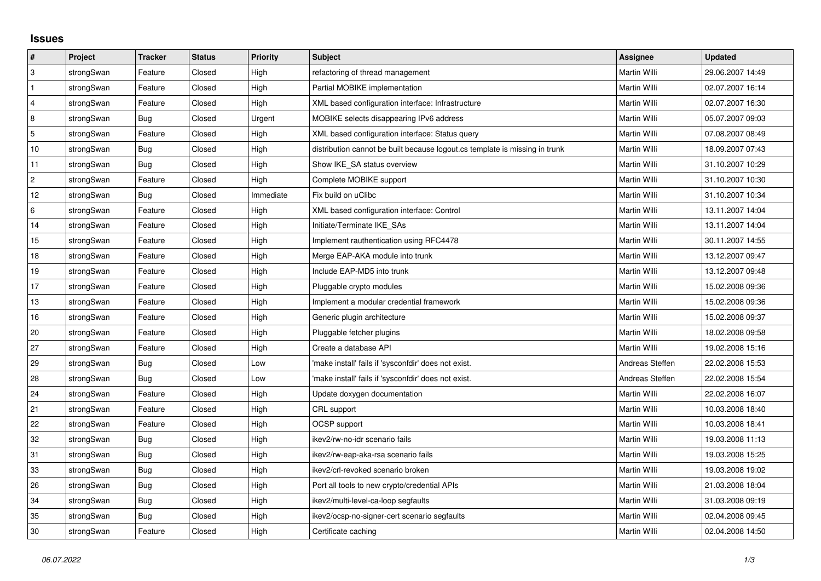## **Issues**

| #              | Project    | <b>Tracker</b> | <b>Status</b> | <b>Priority</b> | Subject                                                                     | <b>Assignee</b> | <b>Updated</b>   |
|----------------|------------|----------------|---------------|-----------------|-----------------------------------------------------------------------------|-----------------|------------------|
| ΙЗ.            | strongSwan | Feature        | Closed        | High            | refactoring of thread management                                            | Martin Willi    | 29.06.2007 14:49 |
| $\mathbf{1}$   | strongSwan | Feature        | Closed        | High            | Partial MOBIKE implementation                                               | Martin Willi    | 02.07.2007 16:14 |
| $\overline{4}$ | strongSwan | Feature        | Closed        | High            | XML based configuration interface: Infrastructure                           | Martin Willi    | 02.07.2007 16:30 |
| 8              | strongSwan | Bug            | Closed        | Urgent          | MOBIKE selects disappearing IPv6 address                                    | Martin Willi    | 05.07.2007 09:03 |
| $\overline{5}$ | strongSwan | Feature        | Closed        | High            | XML based configuration interface: Status query                             | Martin Willi    | 07.08.2007 08:49 |
| 10             | strongSwan | Bug            | Closed        | High            | distribution cannot be built because logout.cs template is missing in trunk | Martin Willi    | 18.09.2007 07:43 |
| 11             | strongSwan | Bug            | Closed        | High            | Show IKE SA status overview                                                 | Martin Willi    | 31.10.2007 10:29 |
| $\overline{2}$ | strongSwan | Feature        | Closed        | High            | Complete MOBIKE support                                                     | Martin Willi    | 31.10.2007 10:30 |
| 12             | strongSwan | Bug            | Closed        | Immediate       | Fix build on uClibc                                                         | Martin Willi    | 31.10.2007 10:34 |
| 6              | strongSwan | Feature        | Closed        | High            | XML based configuration interface: Control                                  | Martin Willi    | 13.11.2007 14:04 |
| 14             | strongSwan | Feature        | Closed        | High            | Initiate/Terminate IKE_SAs                                                  | Martin Willi    | 13.11.2007 14:04 |
| 15             | strongSwan | Feature        | Closed        | High            | Implement rauthentication using RFC4478                                     | Martin Willi    | 30.11.2007 14:55 |
| 18             | strongSwan | Feature        | Closed        | High            | Merge EAP-AKA module into trunk                                             | Martin Willi    | 13.12.2007 09:47 |
| 19             | strongSwan | Feature        | Closed        | High            | Include EAP-MD5 into trunk                                                  | Martin Willi    | 13.12.2007 09:48 |
| 17             | strongSwan | Feature        | Closed        | High            | Pluggable crypto modules                                                    | Martin Willi    | 15.02.2008 09:36 |
| 13             | strongSwan | Feature        | Closed        | High            | Implement a modular credential framework                                    | Martin Willi    | 15.02.2008 09:36 |
| 16             | strongSwan | Feature        | Closed        | High            | Generic plugin architecture                                                 | Martin Willi    | 15.02.2008 09:37 |
| 20             | strongSwan | Feature        | Closed        | High            | Pluggable fetcher plugins                                                   | Martin Willi    | 18.02.2008 09:58 |
| 27             | strongSwan | Feature        | Closed        | High            | Create a database API                                                       | Martin Willi    | 19.02.2008 15:16 |
| 29             | strongSwan | Bug            | Closed        | Low             | make install' fails if 'sysconfdir' does not exist.                         | Andreas Steffen | 22.02.2008 15:53 |
| 28             | strongSwan | Bug            | Closed        | Low             | 'make install' fails if 'sysconfdir' does not exist.                        | Andreas Steffen | 22.02.2008 15:54 |
| 24             | strongSwan | Feature        | Closed        | High            | Update doxygen documentation                                                | Martin Willi    | 22.02.2008 16:07 |
| 21             | strongSwan | Feature        | Closed        | High            | CRL support                                                                 | Martin Willi    | 10.03.2008 18:40 |
| 22             | strongSwan | Feature        | Closed        | High            | <b>OCSP</b> support                                                         | Martin Willi    | 10.03.2008 18:41 |
| 32             | strongSwan | Bug            | Closed        | High            | ikev2/rw-no-idr scenario fails                                              | Martin Willi    | 19.03.2008 11:13 |
| 31             | strongSwan | Bug            | Closed        | High            | ikev2/rw-eap-aka-rsa scenario fails                                         | Martin Willi    | 19.03.2008 15:25 |
| 33             | strongSwan | Bug            | Closed        | High            | ikev2/crl-revoked scenario broken                                           | Martin Willi    | 19.03.2008 19:02 |
| 26             | strongSwan | Bug            | Closed        | High            | Port all tools to new crypto/credential APIs                                | Martin Willi    | 21.03.2008 18:04 |
| 34             | strongSwan | Bug            | Closed        | High            | ikev2/multi-level-ca-loop segfaults                                         | Martin Willi    | 31.03.2008 09:19 |
| 35             | strongSwan | Bug            | Closed        | High            | ikev2/ocsp-no-signer-cert scenario segfaults                                | Martin Willi    | 02.04.2008 09:45 |
| 30             | strongSwan | Feature        | Closed        | High            | Certificate caching                                                         | Martin Willi    | 02.04.2008 14:50 |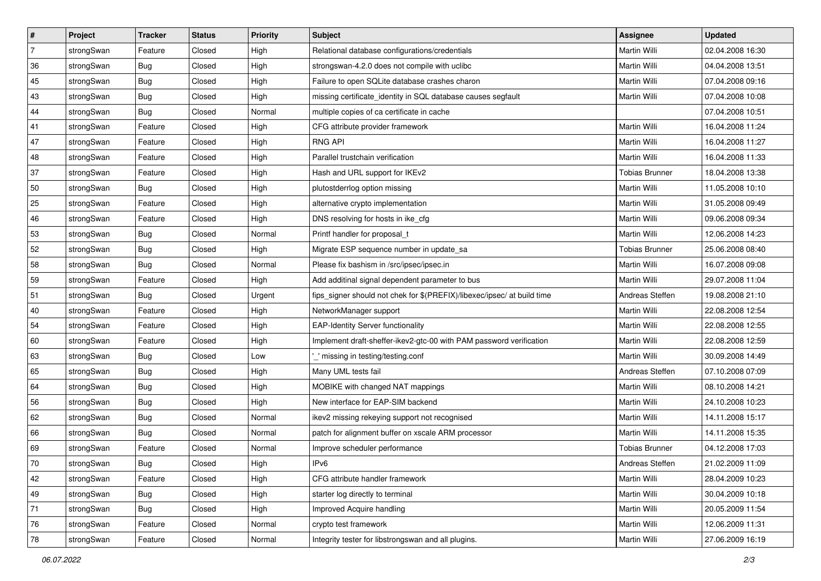| ∦              | Project    | <b>Tracker</b> | <b>Status</b> | <b>Priority</b> | <b>Subject</b>                                                          | Assignee              | <b>Updated</b>   |
|----------------|------------|----------------|---------------|-----------------|-------------------------------------------------------------------------|-----------------------|------------------|
| $\overline{7}$ | strongSwan | Feature        | Closed        | High            | Relational database configurations/credentials                          | Martin Willi          | 02.04.2008 16:30 |
| 36             | strongSwan | <b>Bug</b>     | Closed        | High            | strongswan-4.2.0 does not compile with uclibe                           | Martin Willi          | 04.04.2008 13:51 |
| 45             | strongSwan | Bug            | Closed        | High            | Failure to open SQLite database crashes charon                          | Martin Willi          | 07.04.2008 09:16 |
| 43             | strongSwan | <b>Bug</b>     | Closed        | High            | missing certificate_identity in SQL database causes segfault            | Martin Willi          | 07.04.2008 10:08 |
| 44             | strongSwan | Bug            | Closed        | Normal          | multiple copies of ca certificate in cache                              |                       | 07.04.2008 10:51 |
| 41             | strongSwan | Feature        | Closed        | High            | CFG attribute provider framework                                        | Martin Willi          | 16.04.2008 11:24 |
| 47             | strongSwan | Feature        | Closed        | High            | <b>RNG API</b>                                                          | Martin Willi          | 16.04.2008 11:27 |
| 48             | strongSwan | Feature        | Closed        | High            | Parallel trustchain verification                                        | Martin Willi          | 16.04.2008 11:33 |
| 37             | strongSwan | Feature        | Closed        | High            | Hash and URL support for IKEv2                                          | <b>Tobias Brunner</b> | 18.04.2008 13:38 |
| 50             | strongSwan | <b>Bug</b>     | Closed        | High            | plutostderrlog option missing                                           | Martin Willi          | 11.05.2008 10:10 |
| 25             | strongSwan | Feature        | Closed        | High            | alternative crypto implementation                                       | Martin Willi          | 31.05.2008 09:49 |
| 46             | strongSwan | Feature        | Closed        | High            | DNS resolving for hosts in ike_cfg                                      | Martin Willi          | 09.06.2008 09:34 |
| 53             | strongSwan | Bug            | Closed        | Normal          | Printf handler for proposal_t                                           | <b>Martin Willi</b>   | 12.06.2008 14:23 |
| 52             | strongSwan | Bug            | Closed        | High            | Migrate ESP sequence number in update_sa                                | <b>Tobias Brunner</b> | 25.06.2008 08:40 |
| 58             | strongSwan | Bug            | Closed        | Normal          | Please fix bashism in /src/ipsec/ipsec.in                               | Martin Willi          | 16.07.2008 09:08 |
| 59             | strongSwan | Feature        | Closed        | High            | Add additinal signal dependent parameter to bus                         | Martin Willi          | 29.07.2008 11:04 |
| 51             | strongSwan | Bug            | Closed        | Urgent          | fips_signer should not chek for \$(PREFIX)/libexec/ipsec/ at build time | Andreas Steffen       | 19.08.2008 21:10 |
| 40             | strongSwan | Feature        | Closed        | High            | NetworkManager support                                                  | Martin Willi          | 22.08.2008 12:54 |
| 54             | strongSwan | Feature        | Closed        | High            | <b>EAP-Identity Server functionality</b>                                | Martin Willi          | 22.08.2008 12:55 |
| 60             | strongSwan | Feature        | Closed        | High            | Implement draft-sheffer-ikev2-gtc-00 with PAM password verification     | Martin Willi          | 22.08.2008 12:59 |
| 63             | strongSwan | Bug            | Closed        | Low             | _' missing in testing/testing.conf                                      | Martin Willi          | 30.09.2008 14:49 |
| 65             | strongSwan | Bug            | Closed        | High            | Many UML tests fail                                                     | Andreas Steffen       | 07.10.2008 07:09 |
| 64             | strongSwan | Bug            | Closed        | High            | MOBIKE with changed NAT mappings                                        | <b>Martin Willi</b>   | 08.10.2008 14:21 |
| 56             | strongSwan | <b>Bug</b>     | Closed        | High            | New interface for EAP-SIM backend                                       | Martin Willi          | 24.10.2008 10:23 |
| 62             | strongSwan | <b>Bug</b>     | Closed        | Normal          | ikev2 missing rekeying support not recognised                           | Martin Willi          | 14.11.2008 15:17 |
| 66             | strongSwan | Bug            | Closed        | Normal          | patch for alignment buffer on xscale ARM processor                      | <b>Martin Willi</b>   | 14.11.2008 15:35 |
| 69             | strongSwan | Feature        | Closed        | Normal          | Improve scheduler performance                                           | Tobias Brunner        | 04.12.2008 17:03 |
| 70             | strongSwan | <b>Bug</b>     | Closed        | High            | IPv6                                                                    | Andreas Steffen       | 21.02.2009 11:09 |
| 42             | strongSwan | Feature        | Closed        | High            | CFG attribute handler framework                                         | Martin Willi          | 28.04.2009 10:23 |
| 49             | strongSwan | Bug            | Closed        | High            | starter log directly to terminal                                        | Martin Willi          | 30.04.2009 10:18 |
| 71             | strongSwan | Bug            | Closed        | High            | Improved Acquire handling                                               | Martin Willi          | 20.05.2009 11:54 |
| 76             | strongSwan | Feature        | Closed        | Normal          | crypto test framework                                                   | Martin Willi          | 12.06.2009 11:31 |
| 78             | strongSwan | Feature        | Closed        | Normal          | Integrity tester for libstrongswan and all plugins.                     | Martin Willi          | 27.06.2009 16:19 |